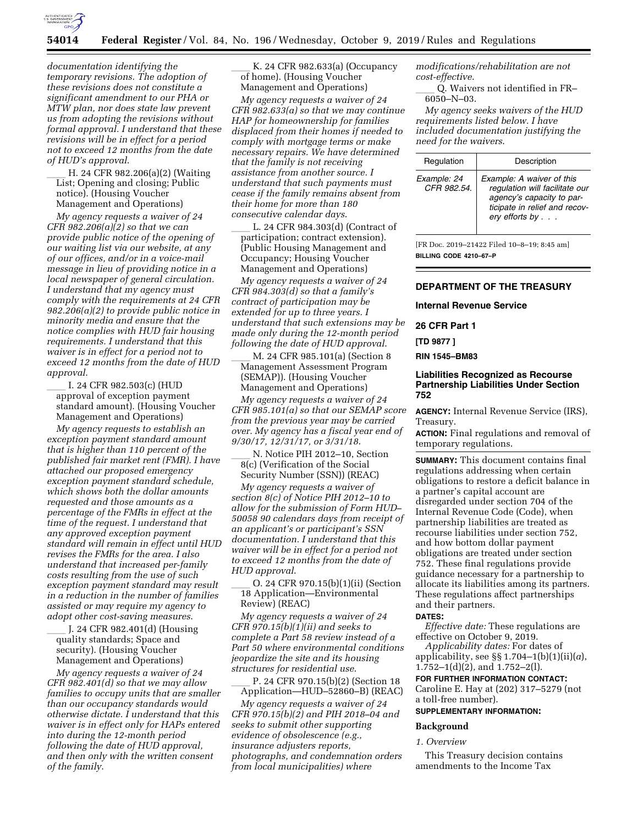

*documentation identifying the temporary revisions. The adoption of these revisions does not constitute a significant amendment to our PHA or MTW plan, nor does state law prevent us from adopting the revisions without formal approval. I understand that these revisions will be in effect for a period not to exceed 12 months from the date of HUD's approval*.

ll H. 24 CFR 982.206(a)(2) (Waiting List; Opening and closing; Public notice). (Housing Voucher Management and Operations)

*My agency requests a waiver of 24 CFR 982.206(a)(2) so that we can provide public notice of the opening of our waiting list via our website, at any of our offices, and/or in a voice-mail message in lieu of providing notice in a local newspaper of general circulation. I understand that my agency must comply with the requirements at 24 CFR 982.206(a)(2) to provide public notice in minority media and ensure that the notice complies with HUD fair housing requirements. I understand that this waiver is in effect for a period not to exceed 12 months from the date of HUD approval*.

ll I. 24 CFR 982.503(c) (HUD approval of exception payment standard amount). (Housing Voucher Management and Operations)

*My agency requests to establish an exception payment standard amount that is higher than 110 percent of the published fair market rent (FMR). I have attached our proposed emergency exception payment standard schedule, which shows both the dollar amounts requested and those amounts as a percentage of the FMRs in effect at the time of the request. I understand that any approved exception payment standard will remain in effect until HUD revises the FMRs for the area. I also understand that increased per-family costs resulting from the use of such exception payment standard may result in a reduction in the number of families assisted or may require my agency to adopt other cost-saving measures*.

J. 24 CFR 982.401(d) (Housing quality standards; Space and security). (Housing Voucher Management and Operations)

*My agency requests a waiver of 24 CFR 982.401(d) so that we may allow families to occupy units that are smaller than our occupancy standards would otherwise dictate. I understand that this waiver is in effect only for HAPs entered into during the 12-month period following the date of HUD approval, and then only with the written consent of the family*.

K. 24 CFR 982.633(a) (Occupancy of home). (Housing Voucher Management and Operations)

*My agency requests a waiver of 24 CFR 982.633(a) so that we may continue HAP for homeownership for families displaced from their homes if needed to comply with mortgage terms or make necessary repairs. We have determined that the family is not receiving assistance from another source. I understand that such payments must cease if the family remains absent from their home for more than 180 consecutive calendar days*.

ll L. 24 CFR 984.303(d) (Contract of participation; contract extension). (Public Housing Management and Occupancy; Housing Voucher Management and Operations)

*My agency requests a waiver of 24 CFR 984.303(d) so that a family's contract of participation may be extended for up to three years. I understand that such extensions may be made only during the 12-month period following the date of HUD approval*.

M. 24 CFR 985.101(a) (Section 8 Management Assessment Program (SEMAP)). (Housing Voucher Management and Operations)

*My agency requests a waiver of 24 CFR 985.101(a) so that our SEMAP score from the previous year may be carried over. My agency has a fiscal year end of 9/30/17, 12/31/17, or 3/31/18*.

N. Notice PIH 2012-10, Section 8(c) (Verification of the Social Security Number (SSN)) (REAC)

*My agency requests a waiver of section 8(c) of Notice PIH 2012–10 to allow for the submission of Form HUD– 50058 90 calendars days from receipt of an applicant's or participant's SSN documentation. I understand that this waiver will be in effect for a period not to exceed 12 months from the date of HUD approval*.

**O. 24 CFR 970.15(b)(1)(ii) (Section** 18 Application—Environmental Review) (REAC)

*My agency requests a waiver of 24 CFR 970.15(b)(1)(ii) and seeks to complete a Part 58 review instead of a Part 50 where environmental conditions jeopardize the site and its housing structures for residential use*.

P. 24 CFR 970.15(b)(2) (Section 18 Application—HUD–52860–B) (REAC)

*My agency requests a waiver of 24 CFR 970.15(b)(2) and PIH 2018–04 and seeks to submit other supporting evidence of obsolescence (e.g., insurance adjusters reports, photographs, and condemnation orders from local municipalities) where* 

*modifications/rehabilitation are not cost-effective*.

**O. Waivers not identified in FR–** 6050–N–03.

*My agency seeks waivers of the HUD requirements listed below. I have included documentation justifying the need for the waivers*.

| Regulation                 | Description                                                                                                                                 |
|----------------------------|---------------------------------------------------------------------------------------------------------------------------------------------|
| Example: 24<br>CFR 982.54. | Example: A waiver of this<br>regulation will facilitate our<br>agency's capacity to par-<br>ticipate in relief and recov-<br>ery efforts by |

[FR Doc. 2019–21422 Filed 10–8–19; 8:45 am] **BILLING CODE 4210–67–P** 

# **DEPARTMENT OF THE TREASURY**

### **Internal Revenue Service**

**26 CFR Part 1** 

**[TD 9877 ]** 

#### **RIN 1545–BM83**

## **Liabilities Recognized as Recourse Partnership Liabilities Under Section 752**

**AGENCY:** Internal Revenue Service (IRS), Treasury.

**ACTION:** Final regulations and removal of temporary regulations.

**SUMMARY:** This document contains final regulations addressing when certain obligations to restore a deficit balance in a partner's capital account are disregarded under section 704 of the Internal Revenue Code (Code), when partnership liabilities are treated as recourse liabilities under section 752, and how bottom dollar payment obligations are treated under section 752. These final regulations provide guidance necessary for a partnership to allocate its liabilities among its partners. These regulations affect partnerships and their partners.

## **DATES:**

*Effective date:* These regulations are effective on October 9, 2019.

*Applicability dates:* For dates of applicability, see §§ 1.704–1(b)(1)(ii)(*a*), 1.752–1(d)(2), and 1.752–2(l).

**FOR FURTHER INFORMATION CONTACT:** 

Caroline E. Hay at (202) 317–5279 (not a toll-free number).

# **SUPPLEMENTARY INFORMATION:**

# **Background**

#### *1. Overview*

This Treasury decision contains amendments to the Income Tax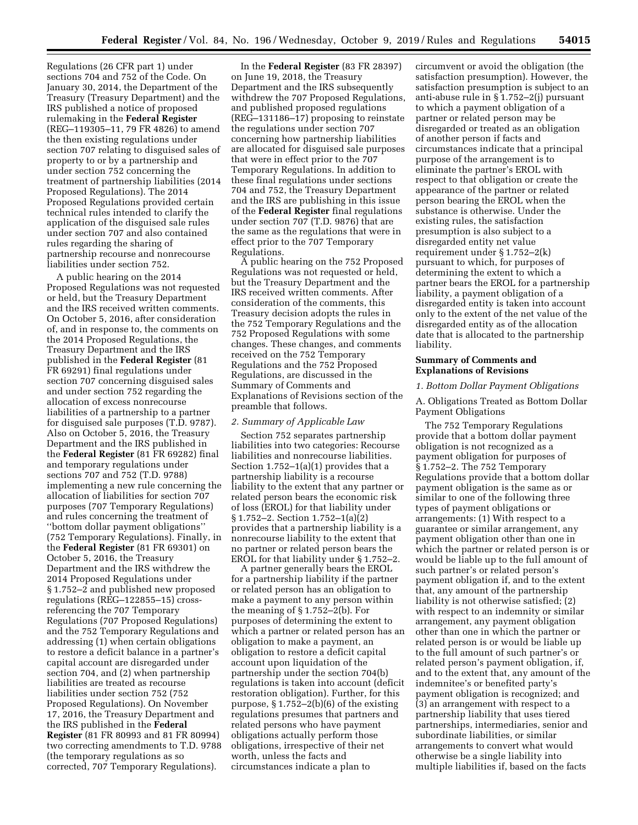Regulations (26 CFR part 1) under sections 704 and 752 of the Code. On January 30, 2014, the Department of the Treasury (Treasury Department) and the IRS published a notice of proposed rulemaking in the **Federal Register**  (REG–119305–11, 79 FR 4826) to amend the then existing regulations under section 707 relating to disguised sales of property to or by a partnership and under section 752 concerning the treatment of partnership liabilities (2014 Proposed Regulations). The 2014 Proposed Regulations provided certain technical rules intended to clarify the application of the disguised sale rules under section 707 and also contained rules regarding the sharing of partnership recourse and nonrecourse liabilities under section 752.

A public hearing on the 2014 Proposed Regulations was not requested or held, but the Treasury Department and the IRS received written comments. On October 5, 2016, after consideration of, and in response to, the comments on the 2014 Proposed Regulations, the Treasury Department and the IRS published in the **Federal Register** (81 FR 69291) final regulations under section 707 concerning disguised sales and under section 752 regarding the allocation of excess nonrecourse liabilities of a partnership to a partner for disguised sale purposes (T.D. 9787). Also on October 5, 2016, the Treasury Department and the IRS published in the **Federal Register** (81 FR 69282) final and temporary regulations under sections 707 and 752 (T.D. 9788) implementing a new rule concerning the allocation of liabilities for section 707 purposes (707 Temporary Regulations) and rules concerning the treatment of ''bottom dollar payment obligations'' (752 Temporary Regulations). Finally, in the **Federal Register** (81 FR 69301) on October 5, 2016, the Treasury Department and the IRS withdrew the 2014 Proposed Regulations under § 1.752–2 and published new proposed regulations (REG–122855–15) crossreferencing the 707 Temporary Regulations (707 Proposed Regulations) and the 752 Temporary Regulations and addressing (1) when certain obligations to restore a deficit balance in a partner's capital account are disregarded under section 704, and (2) when partnership liabilities are treated as recourse liabilities under section 752 (752 Proposed Regulations). On November 17, 2016, the Treasury Department and the IRS published in the **Federal Register** (81 FR 80993 and 81 FR 80994) two correcting amendments to T.D. 9788 (the temporary regulations as so corrected, 707 Temporary Regulations).

In the **Federal Register** (83 FR 28397) on June 19, 2018, the Treasury Department and the IRS subsequently withdrew the 707 Proposed Regulations, and published proposed regulations (REG–131186–17) proposing to reinstate the regulations under section 707 concerning how partnership liabilities are allocated for disguised sale purposes that were in effect prior to the 707 Temporary Regulations. In addition to these final regulations under sections 704 and 752, the Treasury Department and the IRS are publishing in this issue of the **Federal Register** final regulations under section 707 (T.D. 9876) that are the same as the regulations that were in effect prior to the 707 Temporary Regulations.

A public hearing on the 752 Proposed Regulations was not requested or held, but the Treasury Department and the IRS received written comments. After consideration of the comments, this Treasury decision adopts the rules in the 752 Temporary Regulations and the 752 Proposed Regulations with some changes. These changes, and comments received on the 752 Temporary Regulations and the 752 Proposed Regulations, are discussed in the Summary of Comments and Explanations of Revisions section of the preamble that follows.

#### *2. Summary of Applicable Law*

Section 752 separates partnership liabilities into two categories: Recourse liabilities and nonrecourse liabilities. Section 1.752–1(a)(1) provides that a partnership liability is a recourse liability to the extent that any partner or related person bears the economic risk of loss (EROL) for that liability under § 1.752–2. Section 1.752–1(a)(2) provides that a partnership liability is a nonrecourse liability to the extent that no partner or related person bears the EROL for that liability under § 1.752–2.

A partner generally bears the EROL for a partnership liability if the partner or related person has an obligation to make a payment to any person within the meaning of § 1.752–2(b). For purposes of determining the extent to which a partner or related person has an obligation to make a payment, an obligation to restore a deficit capital account upon liquidation of the partnership under the section 704(b) regulations is taken into account (deficit restoration obligation). Further, for this purpose, § 1.752–2(b)(6) of the existing regulations presumes that partners and related persons who have payment obligations actually perform those obligations, irrespective of their net worth, unless the facts and circumstances indicate a plan to

circumvent or avoid the obligation (the satisfaction presumption). However, the satisfaction presumption is subject to an anti-abuse rule in § 1.752–2(j) pursuant to which a payment obligation of a partner or related person may be disregarded or treated as an obligation of another person if facts and circumstances indicate that a principal purpose of the arrangement is to eliminate the partner's EROL with respect to that obligation or create the appearance of the partner or related person bearing the EROL when the substance is otherwise. Under the existing rules, the satisfaction presumption is also subject to a disregarded entity net value requirement under § 1.752–2(k) pursuant to which, for purposes of determining the extent to which a partner bears the EROL for a partnership liability, a payment obligation of a disregarded entity is taken into account only to the extent of the net value of the disregarded entity as of the allocation date that is allocated to the partnership liability.

## **Summary of Comments and Explanations of Revisions**

#### *1. Bottom Dollar Payment Obligations*

A. Obligations Treated as Bottom Dollar Payment Obligations

The 752 Temporary Regulations provide that a bottom dollar payment obligation is not recognized as a payment obligation for purposes of § 1.752–2. The 752 Temporary Regulations provide that a bottom dollar payment obligation is the same as or similar to one of the following three types of payment obligations or arrangements: (1) With respect to a guarantee or similar arrangement, any payment obligation other than one in which the partner or related person is or would be liable up to the full amount of such partner's or related person's payment obligation if, and to the extent that, any amount of the partnership liability is not otherwise satisfied; (2) with respect to an indemnity or similar arrangement, any payment obligation other than one in which the partner or related person is or would be liable up to the full amount of such partner's or related person's payment obligation, if, and to the extent that, any amount of the indemnitee's or benefited party's payment obligation is recognized; and (3) an arrangement with respect to a partnership liability that uses tiered partnerships, intermediaries, senior and subordinate liabilities, or similar arrangements to convert what would otherwise be a single liability into multiple liabilities if, based on the facts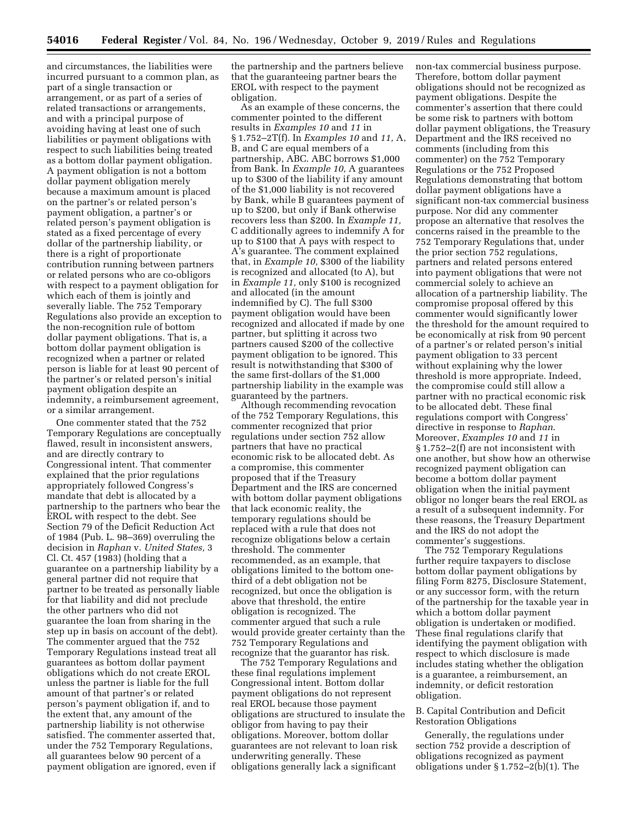and circumstances, the liabilities were incurred pursuant to a common plan, as part of a single transaction or arrangement, or as part of a series of related transactions or arrangements, and with a principal purpose of avoiding having at least one of such liabilities or payment obligations with respect to such liabilities being treated as a bottom dollar payment obligation. A payment obligation is not a bottom dollar payment obligation merely because a maximum amount is placed on the partner's or related person's payment obligation, a partner's or related person's payment obligation is stated as a fixed percentage of every dollar of the partnership liability, or there is a right of proportionate contribution running between partners or related persons who are co-obligors with respect to a payment obligation for which each of them is jointly and severally liable. The 752 Temporary Regulations also provide an exception to the non-recognition rule of bottom dollar payment obligations. That is, a bottom dollar payment obligation is recognized when a partner or related person is liable for at least 90 percent of the partner's or related person's initial payment obligation despite an indemnity, a reimbursement agreement, or a similar arrangement.

One commenter stated that the 752 Temporary Regulations are conceptually flawed, result in inconsistent answers, and are directly contrary to Congressional intent. That commenter explained that the prior regulations appropriately followed Congress's mandate that debt is allocated by a partnership to the partners who bear the EROL with respect to the debt. See Section 79 of the Deficit Reduction Act of 1984 (Pub. L. 98–369) overruling the decision in *Raphan* v. *United States,* 3 Cl. Ct. 457 (1983) (holding that a guarantee on a partnership liability by a general partner did not require that partner to be treated as personally liable for that liability and did not preclude the other partners who did not guarantee the loan from sharing in the step up in basis on account of the debt). The commenter argued that the 752 Temporary Regulations instead treat all guarantees as bottom dollar payment obligations which do not create EROL unless the partner is liable for the full amount of that partner's or related person's payment obligation if, and to the extent that, any amount of the partnership liability is not otherwise satisfied. The commenter asserted that, under the 752 Temporary Regulations, all guarantees below 90 percent of a payment obligation are ignored, even if

the partnership and the partners believe that the guaranteeing partner bears the EROL with respect to the payment obligation.

As an example of these concerns, the commenter pointed to the different results in *Examples 10* and *11* in § 1.752–2T(f). In *Examples 10* and *11,* A, B, and C are equal members of a partnership, ABC. ABC borrows \$1,000 from Bank. In *Example 10,* A guarantees up to \$300 of the liability if any amount of the \$1,000 liability is not recovered by Bank, while B guarantees payment of up to \$200, but only if Bank otherwise recovers less than \$200. In *Example 11,*  C additionally agrees to indemnify A for up to \$100 that A pays with respect to A's guarantee. The comment explained that, in *Example 10,* \$300 of the liability is recognized and allocated (to A), but in *Example 11,* only \$100 is recognized and allocated (in the amount indemnified by C). The full \$300 payment obligation would have been recognized and allocated if made by one partner, but splitting it across two partners caused \$200 of the collective payment obligation to be ignored. This result is notwithstanding that \$300 of the same first-dollars of the \$1,000 partnership liability in the example was guaranteed by the partners.

Although recommending revocation of the 752 Temporary Regulations, this commenter recognized that prior regulations under section 752 allow partners that have no practical economic risk to be allocated debt. As a compromise, this commenter proposed that if the Treasury Department and the IRS are concerned with bottom dollar payment obligations that lack economic reality, the temporary regulations should be replaced with a rule that does not recognize obligations below a certain threshold. The commenter recommended, as an example, that obligations limited to the bottom onethird of a debt obligation not be recognized, but once the obligation is above that threshold, the entire obligation is recognized. The commenter argued that such a rule would provide greater certainty than the 752 Temporary Regulations and recognize that the guarantor has risk.

The 752 Temporary Regulations and these final regulations implement Congressional intent. Bottom dollar payment obligations do not represent real EROL because those payment obligations are structured to insulate the obligor from having to pay their obligations. Moreover, bottom dollar guarantees are not relevant to loan risk underwriting generally. These obligations generally lack a significant

non-tax commercial business purpose. Therefore, bottom dollar payment obligations should not be recognized as payment obligations. Despite the commenter's assertion that there could be some risk to partners with bottom dollar payment obligations, the Treasury Department and the IRS received no comments (including from this commenter) on the 752 Temporary Regulations or the 752 Proposed Regulations demonstrating that bottom dollar payment obligations have a significant non-tax commercial business purpose. Nor did any commenter propose an alternative that resolves the concerns raised in the preamble to the 752 Temporary Regulations that, under the prior section 752 regulations, partners and related persons entered into payment obligations that were not commercial solely to achieve an allocation of a partnership liability. The compromise proposal offered by this commenter would significantly lower the threshold for the amount required to be economically at risk from 90 percent of a partner's or related person's initial payment obligation to 33 percent without explaining why the lower threshold is more appropriate. Indeed, the compromise could still allow a partner with no practical economic risk to be allocated debt. These final regulations comport with Congress' directive in response to *Raphan*. Moreover, *Examples 10* and *11* in § 1.752–2(f) are not inconsistent with one another, but show how an otherwise recognized payment obligation can become a bottom dollar payment obligation when the initial payment obligor no longer bears the real EROL as a result of a subsequent indemnity. For these reasons, the Treasury Department and the IRS do not adopt the commenter's suggestions.

The 752 Temporary Regulations further require taxpayers to disclose bottom dollar payment obligations by filing Form 8275, Disclosure Statement, or any successor form, with the return of the partnership for the taxable year in which a bottom dollar payment obligation is undertaken or modified. These final regulations clarify that identifying the payment obligation with respect to which disclosure is made includes stating whether the obligation is a guarantee, a reimbursement, an indemnity, or deficit restoration obligation.

## B. Capital Contribution and Deficit Restoration Obligations

Generally, the regulations under section 752 provide a description of obligations recognized as payment obligations under § 1.752–2(b)(1). The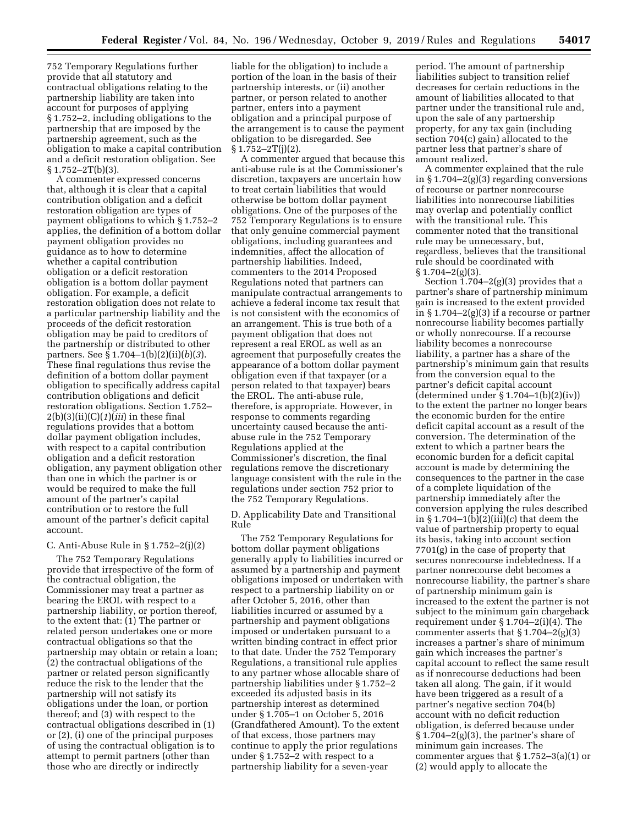752 Temporary Regulations further provide that all statutory and contractual obligations relating to the partnership liability are taken into account for purposes of applying § 1.752–2, including obligations to the partnership that are imposed by the partnership agreement, such as the obligation to make a capital contribution and a deficit restoration obligation. See  $§ 1.752 - 2T(b)(3).$ 

A commenter expressed concerns that, although it is clear that a capital contribution obligation and a deficit restoration obligation are types of payment obligations to which § 1.752–2 applies, the definition of a bottom dollar payment obligation provides no guidance as to how to determine whether a capital contribution obligation or a deficit restoration obligation is a bottom dollar payment obligation. For example, a deficit restoration obligation does not relate to a particular partnership liability and the proceeds of the deficit restoration obligation may be paid to creditors of the partnership or distributed to other partners. See § 1.704–1(b)(2)(ii)(*b*)(*3*). These final regulations thus revise the definition of a bottom dollar payment obligation to specifically address capital contribution obligations and deficit restoration obligations. Section 1.752– 2(b)(3)(ii)(C)(*1*)(*iii*) in these final regulations provides that a bottom dollar payment obligation includes, with respect to a capital contribution obligation and a deficit restoration obligation, any payment obligation other than one in which the partner is or would be required to make the full amount of the partner's capital contribution or to restore the full amount of the partner's deficit capital account.

### C. Anti-Abuse Rule in § 1.752–2(j)(2)

The 752 Temporary Regulations provide that irrespective of the form of the contractual obligation, the Commissioner may treat a partner as bearing the EROL with respect to a partnership liability, or portion thereof, to the extent that: (1) The partner or related person undertakes one or more contractual obligations so that the partnership may obtain or retain a loan; (2) the contractual obligations of the partner or related person significantly reduce the risk to the lender that the partnership will not satisfy its obligations under the loan, or portion thereof; and (3) with respect to the contractual obligations described in (1) or (2), (i) one of the principal purposes of using the contractual obligation is to attempt to permit partners (other than those who are directly or indirectly

liable for the obligation) to include a portion of the loan in the basis of their partnership interests, or (ii) another partner, or person related to another partner, enters into a payment obligation and a principal purpose of the arrangement is to cause the payment obligation to be disregarded. See  $§ 1.752 - 2T(j)(2).$ 

A commenter argued that because this anti-abuse rule is at the Commissioner's discretion, taxpayers are uncertain how to treat certain liabilities that would otherwise be bottom dollar payment obligations. One of the purposes of the 752 Temporary Regulations is to ensure that only genuine commercial payment obligations, including guarantees and indemnities, affect the allocation of partnership liabilities. Indeed, commenters to the 2014 Proposed Regulations noted that partners can manipulate contractual arrangements to achieve a federal income tax result that is not consistent with the economics of an arrangement. This is true both of a payment obligation that does not represent a real EROL as well as an agreement that purposefully creates the appearance of a bottom dollar payment obligation even if that taxpayer (or a person related to that taxpayer) bears the EROL. The anti-abuse rule, therefore, is appropriate. However, in response to comments regarding uncertainty caused because the antiabuse rule in the 752 Temporary Regulations applied at the Commissioner's discretion, the final regulations remove the discretionary language consistent with the rule in the regulations under section 752 prior to the 752 Temporary Regulations.

D. Applicability Date and Transitional Rule

The 752 Temporary Regulations for bottom dollar payment obligations generally apply to liabilities incurred or assumed by a partnership and payment obligations imposed or undertaken with respect to a partnership liability on or after October 5, 2016, other than liabilities incurred or assumed by a partnership and payment obligations imposed or undertaken pursuant to a written binding contract in effect prior to that date. Under the 752 Temporary Regulations, a transitional rule applies to any partner whose allocable share of partnership liabilities under § 1.752–2 exceeded its adjusted basis in its partnership interest as determined under § 1.705–1 on October 5, 2016 (Grandfathered Amount). To the extent of that excess, those partners may continue to apply the prior regulations under § 1.752–2 with respect to a partnership liability for a seven-year

period. The amount of partnership liabilities subject to transition relief decreases for certain reductions in the amount of liabilities allocated to that partner under the transitional rule and, upon the sale of any partnership property, for any tax gain (including section 704(c) gain) allocated to the partner less that partner's share of amount realized.

A commenter explained that the rule in § 1.704–2(g)(3) regarding conversions of recourse or partner nonrecourse liabilities into nonrecourse liabilities may overlap and potentially conflict with the transitional rule. This commenter noted that the transitional rule may be unnecessary, but, regardless, believes that the transitional rule should be coordinated with  $§ 1.704 - 2(g)(3).$ 

Section 1.704–2(g)(3) provides that a partner's share of partnership minimum gain is increased to the extent provided in  $\S 1.704-2(g)(3)$  if a recourse or partner nonrecourse liability becomes partially or wholly nonrecourse. If a recourse liability becomes a nonrecourse liability, a partner has a share of the partnership's minimum gain that results from the conversion equal to the partner's deficit capital account (determined under § 1.704–1(b)(2)(iv)) to the extent the partner no longer bears the economic burden for the entire deficit capital account as a result of the conversion. The determination of the extent to which a partner bears the economic burden for a deficit capital account is made by determining the consequences to the partner in the case of a complete liquidation of the partnership immediately after the conversion applying the rules described in § 1.704–1(b)(2)(iii)(*c*) that deem the value of partnership property to equal its basis, taking into account section 7701(g) in the case of property that secures nonrecourse indebtedness. If a partner nonrecourse debt becomes a nonrecourse liability, the partner's share of partnership minimum gain is increased to the extent the partner is not subject to the minimum gain chargeback requirement under § 1.704–2(i)(4). The commenter asserts that  $\S 1.704 - 2(g)(3)$ increases a partner's share of minimum gain which increases the partner's capital account to reflect the same result as if nonrecourse deductions had been taken all along. The gain, if it would have been triggered as a result of a partner's negative section 704(b) account with no deficit reduction obligation, is deferred because under  $\S 1.704-2(g)(3)$ , the partner's share of minimum gain increases. The commenter argues that  $\S 1.752-3(a)(1)$  or (2) would apply to allocate the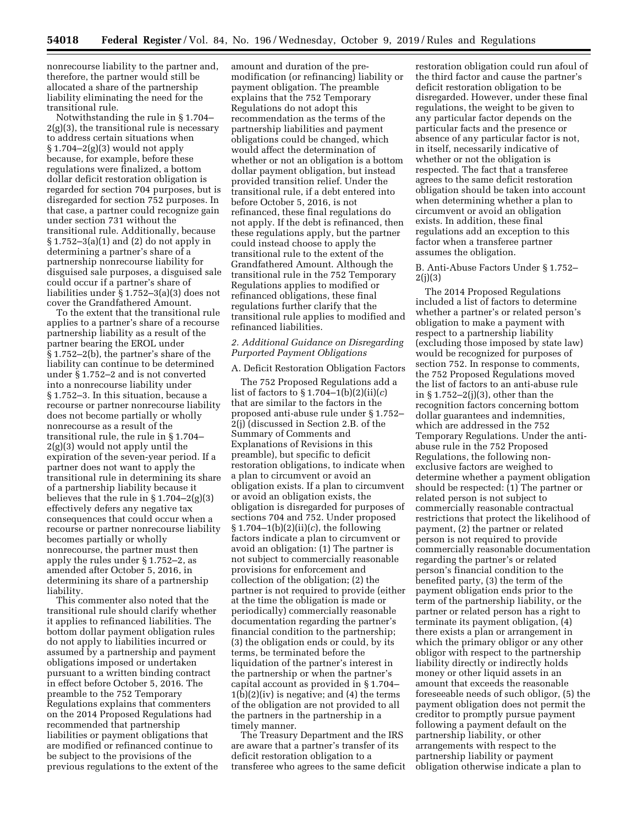nonrecourse liability to the partner and, therefore, the partner would still be allocated a share of the partnership liability eliminating the need for the transitional rule.

Notwithstanding the rule in § 1.704– 2(g)(3), the transitional rule is necessary to address certain situations when  $§ 1.704-2(g)(3)$  would not apply because, for example, before these regulations were finalized, a bottom dollar deficit restoration obligation is regarded for section 704 purposes, but is disregarded for section 752 purposes. In that case, a partner could recognize gain under section 731 without the transitional rule. Additionally, because § 1.752–3(a)(1) and (2) do not apply in determining a partner's share of a partnership nonrecourse liability for disguised sale purposes, a disguised sale could occur if a partner's share of liabilities under § 1.752–3(a)(3) does not cover the Grandfathered Amount.

To the extent that the transitional rule applies to a partner's share of a recourse partnership liability as a result of the partner bearing the EROL under § 1.752–2(b), the partner's share of the liability can continue to be determined under § 1.752–2 and is not converted into a nonrecourse liability under § 1.752–3. In this situation, because a recourse or partner nonrecourse liability does not become partially or wholly nonrecourse as a result of the transitional rule, the rule in § 1.704– 2(g)(3) would not apply until the expiration of the seven-year period. If a partner does not want to apply the transitional rule in determining its share of a partnership liability because it believes that the rule in  $\S 1.704 - 2(g)(3)$ effectively defers any negative tax consequences that could occur when a recourse or partner nonrecourse liability becomes partially or wholly nonrecourse, the partner must then apply the rules under § 1.752–2, as amended after October 5, 2016, in determining its share of a partnership liability.

This commenter also noted that the transitional rule should clarify whether it applies to refinanced liabilities. The bottom dollar payment obligation rules do not apply to liabilities incurred or assumed by a partnership and payment obligations imposed or undertaken pursuant to a written binding contract in effect before October 5, 2016. The preamble to the 752 Temporary Regulations explains that commenters on the 2014 Proposed Regulations had recommended that partnership liabilities or payment obligations that are modified or refinanced continue to be subject to the provisions of the previous regulations to the extent of the

amount and duration of the premodification (or refinancing) liability or payment obligation. The preamble explains that the 752 Temporary Regulations do not adopt this recommendation as the terms of the partnership liabilities and payment obligations could be changed, which would affect the determination of whether or not an obligation is a bottom dollar payment obligation, but instead provided transition relief. Under the transitional rule, if a debt entered into before October 5, 2016, is not refinanced, these final regulations do not apply. If the debt is refinanced, then these regulations apply, but the partner could instead choose to apply the transitional rule to the extent of the Grandfathered Amount. Although the transitional rule in the 752 Temporary Regulations applies to modified or refinanced obligations, these final regulations further clarify that the transitional rule applies to modified and refinanced liabilities.

# *2. Additional Guidance on Disregarding Purported Payment Obligations*

#### A. Deficit Restoration Obligation Factors

The 752 Proposed Regulations add a list of factors to § 1.704–1(b)(2)(ii)(*c*) that are similar to the factors in the proposed anti-abuse rule under § 1.752– 2(j) (discussed in Section 2.B. of the Summary of Comments and Explanations of Revisions in this preamble), but specific to deficit restoration obligations, to indicate when a plan to circumvent or avoid an obligation exists. If a plan to circumvent or avoid an obligation exists, the obligation is disregarded for purposes of sections 704 and 752. Under proposed § 1.704–1(b)(2)(ii)(*c*), the following factors indicate a plan to circumvent or avoid an obligation: (1) The partner is not subject to commercially reasonable provisions for enforcement and collection of the obligation; (2) the partner is not required to provide (either at the time the obligation is made or periodically) commercially reasonable documentation regarding the partner's financial condition to the partnership; (3) the obligation ends or could, by its terms, be terminated before the liquidation of the partner's interest in the partnership or when the partner's capital account as provided in § 1.704– 1(b)(2)(iv) is negative; and (4) the terms of the obligation are not provided to all the partners in the partnership in a timely manner.

The Treasury Department and the IRS are aware that a partner's transfer of its deficit restoration obligation to a transferee who agrees to the same deficit restoration obligation could run afoul of the third factor and cause the partner's deficit restoration obligation to be disregarded. However, under these final regulations, the weight to be given to any particular factor depends on the particular facts and the presence or absence of any particular factor is not, in itself, necessarily indicative of whether or not the obligation is respected. The fact that a transferee agrees to the same deficit restoration obligation should be taken into account when determining whether a plan to circumvent or avoid an obligation exists. In addition, these final regulations add an exception to this factor when a transferee partner assumes the obligation.

## B. Anti-Abuse Factors Under § 1.752– 2(j)(3)

The 2014 Proposed Regulations included a list of factors to determine whether a partner's or related person's obligation to make a payment with respect to a partnership liability (excluding those imposed by state law) would be recognized for purposes of section 752. In response to comments, the 752 Proposed Regulations moved the list of factors to an anti-abuse rule in § 1.752–2(j)(3), other than the recognition factors concerning bottom dollar guarantees and indemnities, which are addressed in the 752 Temporary Regulations. Under the antiabuse rule in the 752 Proposed Regulations, the following nonexclusive factors are weighed to determine whether a payment obligation should be respected: (1) The partner or related person is not subject to commercially reasonable contractual restrictions that protect the likelihood of payment, (2) the partner or related person is not required to provide commercially reasonable documentation regarding the partner's or related person's financial condition to the benefited party, (3) the term of the payment obligation ends prior to the term of the partnership liability, or the partner or related person has a right to terminate its payment obligation, (4) there exists a plan or arrangement in which the primary obligor or any other obligor with respect to the partnership liability directly or indirectly holds money or other liquid assets in an amount that exceeds the reasonable foreseeable needs of such obligor, (5) the payment obligation does not permit the creditor to promptly pursue payment following a payment default on the partnership liability, or other arrangements with respect to the partnership liability or payment obligation otherwise indicate a plan to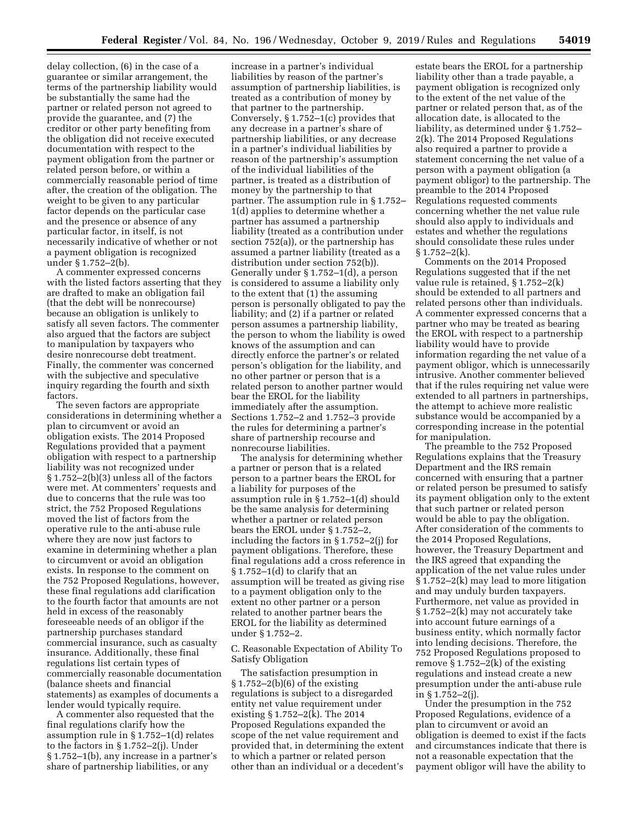delay collection, (6) in the case of a guarantee or similar arrangement, the terms of the partnership liability would be substantially the same had the partner or related person not agreed to provide the guarantee, and (7) the creditor or other party benefiting from the obligation did not receive executed documentation with respect to the payment obligation from the partner or related person before, or within a commercially reasonable period of time after, the creation of the obligation. The weight to be given to any particular factor depends on the particular case and the presence or absence of any particular factor, in itself, is not necessarily indicative of whether or not a payment obligation is recognized under § 1.752–2(b).

A commenter expressed concerns with the listed factors asserting that they are drafted to make an obligation fail (that the debt will be nonrecourse) because an obligation is unlikely to satisfy all seven factors. The commenter also argued that the factors are subject to manipulation by taxpayers who desire nonrecourse debt treatment. Finally, the commenter was concerned with the subjective and speculative inquiry regarding the fourth and sixth factors.

The seven factors are appropriate considerations in determining whether a plan to circumvent or avoid an obligation exists. The 2014 Proposed Regulations provided that a payment obligation with respect to a partnership liability was not recognized under § 1.752–2(b)(3) unless all of the factors were met. At commenters' requests and due to concerns that the rule was too strict, the 752 Proposed Regulations moved the list of factors from the operative rule to the anti-abuse rule where they are now just factors to examine in determining whether a plan to circumvent or avoid an obligation exists. In response to the comment on the 752 Proposed Regulations, however, these final regulations add clarification to the fourth factor that amounts are not held in excess of the reasonably foreseeable needs of an obligor if the partnership purchases standard commercial insurance, such as casualty insurance. Additionally, these final regulations list certain types of commercially reasonable documentation (balance sheets and financial statements) as examples of documents a lender would typically require.

A commenter also requested that the final regulations clarify how the assumption rule in § 1.752–1(d) relates to the factors in § 1.752–2(j). Under § 1.752–1(b), any increase in a partner's share of partnership liabilities, or any

increase in a partner's individual liabilities by reason of the partner's assumption of partnership liabilities, is treated as a contribution of money by that partner to the partnership. Conversely, § 1.752–1(c) provides that any decrease in a partner's share of partnership liabilities, or any decrease in a partner's individual liabilities by reason of the partnership's assumption of the individual liabilities of the partner, is treated as a distribution of money by the partnership to that partner. The assumption rule in § 1.752– 1(d) applies to determine whether a partner has assumed a partnership liability (treated as a contribution under section 752(a)), or the partnership has assumed a partner liability (treated as a distribution under section 752(b)). Generally under § 1.752–1(d), a person is considered to assume a liability only to the extent that (1) the assuming person is personally obligated to pay the liability; and (2) if a partner or related person assumes a partnership liability, the person to whom the liability is owed knows of the assumption and can directly enforce the partner's or related person's obligation for the liability, and no other partner or person that is a related person to another partner would bear the EROL for the liability immediately after the assumption. Sections 1.752–2 and 1.752–3 provide the rules for determining a partner's share of partnership recourse and nonrecourse liabilities.

The analysis for determining whether a partner or person that is a related person to a partner bears the EROL for a liability for purposes of the assumption rule in § 1.752–1(d) should be the same analysis for determining whether a partner or related person bears the EROL under § 1.752–2, including the factors in § 1.752–2(j) for payment obligations. Therefore, these final regulations add a cross reference in § 1.752–1(d) to clarify that an assumption will be treated as giving rise to a payment obligation only to the extent no other partner or a person related to another partner bears the EROL for the liability as determined under § 1.752–2.

C. Reasonable Expectation of Ability To Satisfy Obligation

The satisfaction presumption in § 1.752–2(b)(6) of the existing regulations is subject to a disregarded entity net value requirement under existing  $\S 1.752 - 2(k)$ . The 2014 Proposed Regulations expanded the scope of the net value requirement and provided that, in determining the extent to which a partner or related person other than an individual or a decedent's

estate bears the EROL for a partnership liability other than a trade payable, a payment obligation is recognized only to the extent of the net value of the partner or related person that, as of the allocation date, is allocated to the liability, as determined under § 1.752– 2(k). The 2014 Proposed Regulations also required a partner to provide a statement concerning the net value of a person with a payment obligation (a payment obligor) to the partnership. The preamble to the 2014 Proposed Regulations requested comments concerning whether the net value rule should also apply to individuals and estates and whether the regulations should consolidate these rules under § 1.752–2(k).

Comments on the 2014 Proposed Regulations suggested that if the net value rule is retained, § 1.752–2(k) should be extended to all partners and related persons other than individuals. A commenter expressed concerns that a partner who may be treated as bearing the EROL with respect to a partnership liability would have to provide information regarding the net value of a payment obligor, which is unnecessarily intrusive. Another commenter believed that if the rules requiring net value were extended to all partners in partnerships, the attempt to achieve more realistic substance would be accompanied by a corresponding increase in the potential for manipulation.

The preamble to the 752 Proposed Regulations explains that the Treasury Department and the IRS remain concerned with ensuring that a partner or related person be presumed to satisfy its payment obligation only to the extent that such partner or related person would be able to pay the obligation. After consideration of the comments to the 2014 Proposed Regulations, however, the Treasury Department and the IRS agreed that expanding the application of the net value rules under § 1.752–2(k) may lead to more litigation and may unduly burden taxpayers. Furthermore, net value as provided in § 1.752–2(k) may not accurately take into account future earnings of a business entity, which normally factor into lending decisions. Therefore, the 752 Proposed Regulations proposed to remove  $\S 1.752-2(k)$  of the existing regulations and instead create a new presumption under the anti-abuse rule in § 1.752–2(j).

Under the presumption in the 752 Proposed Regulations, evidence of a plan to circumvent or avoid an obligation is deemed to exist if the facts and circumstances indicate that there is not a reasonable expectation that the payment obligor will have the ability to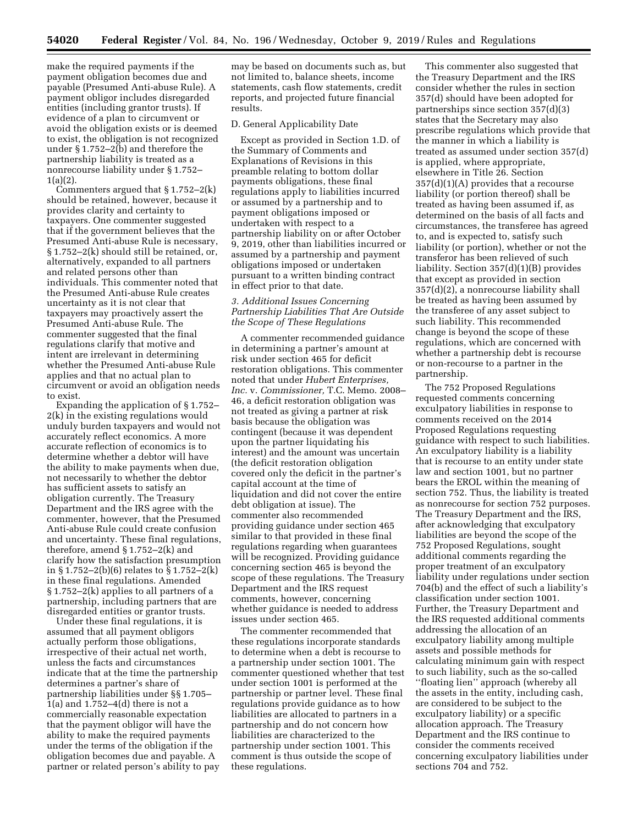make the required payments if the payment obligation becomes due and payable (Presumed Anti-abuse Rule). A payment obligor includes disregarded entities (including grantor trusts). If evidence of a plan to circumvent or avoid the obligation exists or is deemed to exist, the obligation is not recognized under § 1.752–2(b) and therefore the partnership liability is treated as a nonrecourse liability under § 1.752– 1(a)(2).

Commenters argued that § 1.752–2(k) should be retained, however, because it provides clarity and certainty to taxpayers. One commenter suggested that if the government believes that the Presumed Anti-abuse Rule is necessary, § 1.752–2(k) should still be retained, or, alternatively, expanded to all partners and related persons other than individuals. This commenter noted that the Presumed Anti-abuse Rule creates uncertainty as it is not clear that taxpayers may proactively assert the Presumed Anti-abuse Rule. The commenter suggested that the final regulations clarify that motive and intent are irrelevant in determining whether the Presumed Anti-abuse Rule applies and that no actual plan to circumvent or avoid an obligation needs to exist.

Expanding the application of § 1.752– 2(k) in the existing regulations would unduly burden taxpayers and would not accurately reflect economics. A more accurate reflection of economics is to determine whether a debtor will have the ability to make payments when due, not necessarily to whether the debtor has sufficient assets to satisfy an obligation currently. The Treasury Department and the IRS agree with the commenter, however, that the Presumed Anti-abuse Rule could create confusion and uncertainty. These final regulations, therefore, amend  $\S 1.752-2(k)$  and clarify how the satisfaction presumption in § 1.752–2(b)(6) relates to § 1.752–2(k) in these final regulations. Amended § 1.752–2(k) applies to all partners of a partnership, including partners that are disregarded entities or grantor trusts.

Under these final regulations, it is assumed that all payment obligors actually perform those obligations, irrespective of their actual net worth, unless the facts and circumstances indicate that at the time the partnership determines a partner's share of partnership liabilities under §§ 1.705– 1(a) and 1.752–4(d) there is not a commercially reasonable expectation that the payment obligor will have the ability to make the required payments under the terms of the obligation if the obligation becomes due and payable. A partner or related person's ability to pay

may be based on documents such as, but not limited to, balance sheets, income statements, cash flow statements, credit reports, and projected future financial results.

#### D. General Applicability Date

Except as provided in Section 1.D. of the Summary of Comments and Explanations of Revisions in this preamble relating to bottom dollar payments obligations, these final regulations apply to liabilities incurred or assumed by a partnership and to payment obligations imposed or undertaken with respect to a partnership liability on or after October 9, 2019, other than liabilities incurred or assumed by a partnership and payment obligations imposed or undertaken pursuant to a written binding contract in effect prior to that date.

## *3. Additional Issues Concerning Partnership Liabilities That Are Outside the Scope of These Regulations*

A commenter recommended guidance in determining a partner's amount at risk under section 465 for deficit restoration obligations. This commenter noted that under *Hubert Enterprises, Inc.* v. *Commissioner,* T.C. Memo. 2008– 46, a deficit restoration obligation was not treated as giving a partner at risk basis because the obligation was contingent (because it was dependent upon the partner liquidating his interest) and the amount was uncertain (the deficit restoration obligation covered only the deficit in the partner's capital account at the time of liquidation and did not cover the entire debt obligation at issue). The commenter also recommended providing guidance under section 465 similar to that provided in these final regulations regarding when guarantees will be recognized. Providing guidance concerning section 465 is beyond the scope of these regulations. The Treasury Department and the IRS request comments, however, concerning whether guidance is needed to address issues under section 465.

The commenter recommended that these regulations incorporate standards to determine when a debt is recourse to a partnership under section 1001. The commenter questioned whether that test under section 1001 is performed at the partnership or partner level. These final regulations provide guidance as to how liabilities are allocated to partners in a partnership and do not concern how liabilities are characterized to the partnership under section 1001. This comment is thus outside the scope of these regulations.

This commenter also suggested that the Treasury Department and the IRS consider whether the rules in section 357(d) should have been adopted for partnerships since section 357(d)(3) states that the Secretary may also prescribe regulations which provide that the manner in which a liability is treated as assumed under section 357(d) is applied, where appropriate, elsewhere in Title 26. Section 357(d)(1)(A) provides that a recourse liability (or portion thereof) shall be treated as having been assumed if, as determined on the basis of all facts and circumstances, the transferee has agreed to, and is expected to, satisfy such liability (or portion), whether or not the transferor has been relieved of such liability. Section 357(d)(1)(B) provides that except as provided in section 357(d)(2), a nonrecourse liability shall be treated as having been assumed by the transferee of any asset subject to such liability. This recommended change is beyond the scope of these regulations, which are concerned with whether a partnership debt is recourse or non-recourse to a partner in the partnership.

The 752 Proposed Regulations requested comments concerning exculpatory liabilities in response to comments received on the 2014 Proposed Regulations requesting guidance with respect to such liabilities. An exculpatory liability is a liability that is recourse to an entity under state law and section 1001, but no partner bears the EROL within the meaning of section 752. Thus, the liability is treated as nonrecourse for section 752 purposes. The Treasury Department and the IRS, after acknowledging that exculpatory liabilities are beyond the scope of the 752 Proposed Regulations, sought additional comments regarding the proper treatment of an exculpatory liability under regulations under section 704(b) and the effect of such a liability's classification under section 1001. Further, the Treasury Department and the IRS requested additional comments addressing the allocation of an exculpatory liability among multiple assets and possible methods for calculating minimum gain with respect to such liability, such as the so-called ''floating lien'' approach (whereby all the assets in the entity, including cash, are considered to be subject to the exculpatory liability) or a specific allocation approach. The Treasury Department and the IRS continue to consider the comments received concerning exculpatory liabilities under sections 704 and 752.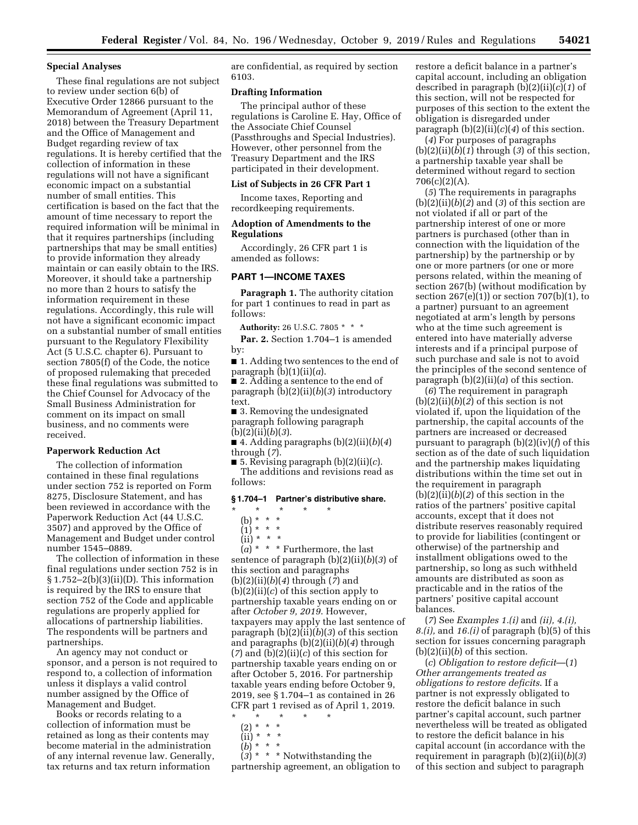## **Special Analyses**

These final regulations are not subject to review under section 6(b) of Executive Order 12866 pursuant to the Memorandum of Agreement (April 11, 2018) between the Treasury Department and the Office of Management and Budget regarding review of tax regulations. It is hereby certified that the collection of information in these regulations will not have a significant economic impact on a substantial number of small entities. This certification is based on the fact that the amount of time necessary to report the required information will be minimal in that it requires partnerships (including partnerships that may be small entities) to provide information they already maintain or can easily obtain to the IRS. Moreover, it should take a partnership no more than 2 hours to satisfy the information requirement in these regulations. Accordingly, this rule will not have a significant economic impact on a substantial number of small entities pursuant to the Regulatory Flexibility Act (5 U.S.C. chapter 6). Pursuant to section 7805(f) of the Code, the notice of proposed rulemaking that preceded these final regulations was submitted to the Chief Counsel for Advocacy of the Small Business Administration for comment on its impact on small business, and no comments were received.

## **Paperwork Reduction Act**

The collection of information contained in these final regulations under section 752 is reported on Form 8275, Disclosure Statement, and has been reviewed in accordance with the Paperwork Reduction Act (44 U.S.C. 3507) and approved by the Office of Management and Budget under control number 1545–0889.

The collection of information in these final regulations under section 752 is in § 1.752–2(b)(3)(ii)(D). This information is required by the IRS to ensure that section 752 of the Code and applicable regulations are properly applied for allocations of partnership liabilities. The respondents will be partners and partnerships.

An agency may not conduct or sponsor, and a person is not required to respond to, a collection of information unless it displays a valid control number assigned by the Office of Management and Budget.

Books or records relating to a collection of information must be retained as long as their contents may become material in the administration of any internal revenue law. Generally, tax returns and tax return information

are confidential, as required by section 6103.

#### **Drafting Information**

The principal author of these regulations is Caroline E. Hay, Office of the Associate Chief Counsel (Passthroughs and Special Industries). However, other personnel from the Treasury Department and the IRS participated in their development.

## **List of Subjects in 26 CFR Part 1**

Income taxes, Reporting and recordkeeping requirements.

#### **Adoption of Amendments to the Regulations**

Accordingly, 26 CFR part 1 is amended as follows:

#### **PART 1—INCOME TAXES**

**Paragraph 1.** The authority citation for part 1 continues to read in part as follows:

**Authority:** 26 U.S.C. 7805 \* \* \* **Par. 2.** Section 1.704–1 is amended by:

■ 1. Adding two sentences to the end of paragraph (b)(1)(ii)(*a*).

■ 2. Adding a sentence to the end of paragraph (b)(2)(ii)(*b*)(*3*) introductory text.

■ 3. Removing the undesignated paragraph following paragraph (b)(2)(ii)(*b*)(*3*).

■ 4. Adding paragraphs (b)(2)(ii)(*b*)(*4*) through (*7*).

■ 5. Revising paragraph  $(b)(2)(ii)(c)$ . The additions and revisions read as follows:

# **§ 1.704–1 Partner's distributive share.**

\* \* \* \* \*

(b) \* \* \*

 $(1) * * * *$ 

(ii) \* \* \*

(*a*) \* \* \* Furthermore, the last sentence of paragraph (b)(2)(ii)(*b*)(*3*) of this section and paragraphs (b)(2)(ii)(*b*)(*4*) through (*7*) and (b)(2)(ii)(*c*) of this section apply to partnership taxable years ending on or after *October 9, 2019*. However, taxpayers may apply the last sentence of paragraph  $(b)(2)\overline{(ii)}\overline{(b)}\overline{(3)}$  of this section and paragraphs (b)(2)(ii)(*b*)(*4*) through  $(7)$  and  $(b)(2)(ii)(c)$  of this section for partnership taxable years ending on or after October 5, 2016. For partnership taxable years ending before October 9, 2019, see § 1.704–1 as contained in 26 CFR part 1 revised as of April 1, 2019.

- \* \* \* \* \*
	- (2) \* \* \*
	- (ii) \* \* \* (*b*) \* \* \*
		-

 $(g) * * *$  Notwithstanding the partnership agreement, an obligation to restore a deficit balance in a partner's capital account, including an obligation described in paragraph (b)(2)(ii)(*c*)(*1*) of this section, will not be respected for purposes of this section to the extent the obligation is disregarded under paragraph  $(b)(2)(ii)(c)(4)$  of this section.

(*4*) For purposes of paragraphs (b)(2)(ii)(*b*)(*1*) through (*3*) of this section, a partnership taxable year shall be determined without regard to section 706(c)(2)(A).

(*5*) The requirements in paragraphs  $(b)(2)(ii)(b)(2)$  and  $(3)$  of this section are not violated if all or part of the partnership interest of one or more partners is purchased (other than in connection with the liquidation of the partnership) by the partnership or by one or more partners (or one or more persons related, within the meaning of section 267(b) (without modification by section  $267(e)(1)$  or section  $707(b)(1)$ , to a partner) pursuant to an agreement negotiated at arm's length by persons who at the time such agreement is entered into have materially adverse interests and if a principal purpose of such purchase and sale is not to avoid the principles of the second sentence of paragraph (b)(2)(ii)(*a*) of this section.

(*6*) The requirement in paragraph  $(b)(2)(ii)(b)(2)$  of this section is not violated if, upon the liquidation of the partnership, the capital accounts of the partners are increased or decreased pursuant to paragraph (b)(2)(iv)(*f*) of this section as of the date of such liquidation and the partnership makes liquidating distributions within the time set out in the requirement in paragraph  $(b)(2)(ii)(b)(2)$  of this section in the ratios of the partners' positive capital accounts, except that it does not distribute reserves reasonably required to provide for liabilities (contingent or otherwise) of the partnership and installment obligations owed to the partnership, so long as such withheld amounts are distributed as soon as practicable and in the ratios of the partners' positive capital account balances.

(*7*) See *Examples 1.(i)* and *(ii), 4.(i), 8.(i),* and *16.(i)* of paragraph (b)(5) of this section for issues concerning paragraph  $(b)(2)(ii)(b)$  of this section.

(*c*) *Obligation to restore deficit*—(*1*) *Other arrangements treated as obligations to restore deficits*. If a partner is not expressly obligated to restore the deficit balance in such partner's capital account, such partner nevertheless will be treated as obligated to restore the deficit balance in his capital account (in accordance with the requirement in paragraph (b)(2)(ii)(*b*)(*3*) of this section and subject to paragraph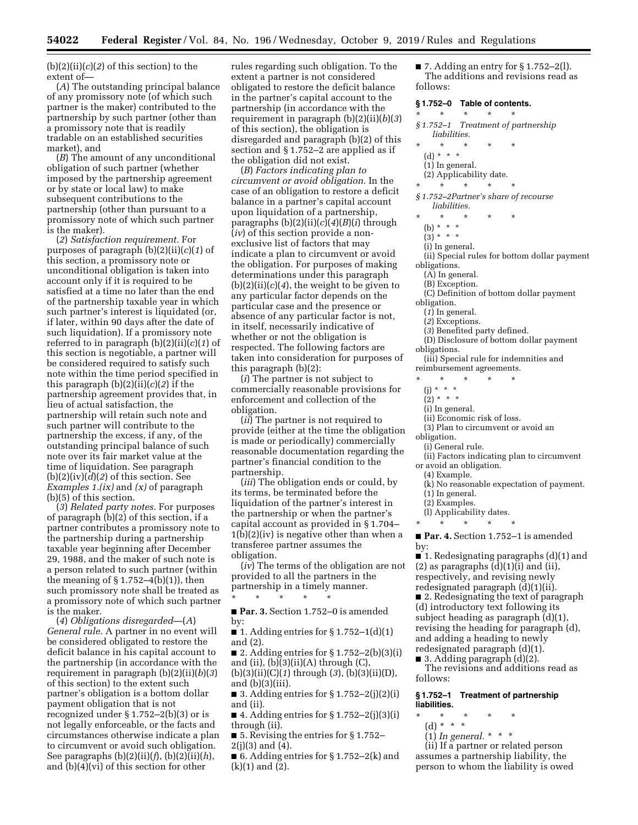$(b)(2)(ii)(c)(2)$  of this section) to the extent of—

(*A*) The outstanding principal balance of any promissory note (of which such partner is the maker) contributed to the partnership by such partner (other than a promissory note that is readily tradable on an established securities market), and

(*B*) The amount of any unconditional obligation of such partner (whether imposed by the partnership agreement or by state or local law) to make subsequent contributions to the partnership (other than pursuant to a promissory note of which such partner is the maker).

(*2*) *Satisfaction requirement.* For purposes of paragraph (b)(2)(ii)(*c*)(*1*) of this section, a promissory note or unconditional obligation is taken into account only if it is required to be satisfied at a time no later than the end of the partnership taxable year in which such partner's interest is liquidated (or, if later, within 90 days after the date of such liquidation). If a promissory note referred to in paragraph (b)(2)(ii)(*c*)(*1*) of this section is negotiable, a partner will be considered required to satisfy such note within the time period specified in this paragraph  $(b)(2)(ii)(c)(2)$  if the partnership agreement provides that, in lieu of actual satisfaction, the partnership will retain such note and such partner will contribute to the partnership the excess, if any, of the outstanding principal balance of such note over its fair market value at the time of liquidation. See paragraph (b)(2)(iv)(*d*)(*2*) of this section. See *Examples 1.(ix)* and *(x)* of paragraph (b)(5) of this section.

(*3*) *Related party notes.* For purposes of paragraph (b)(2) of this section, if a partner contributes a promissory note to the partnership during a partnership taxable year beginning after December 29, 1988, and the maker of such note is a person related to such partner (within the meaning of  $\S 1.752-4(b)(1)$ , then such promissory note shall be treated as a promissory note of which such partner is the maker.

(*4*) *Obligations disregarded*—(*A*) *General rule*. A partner in no event will be considered obligated to restore the deficit balance in his capital account to the partnership (in accordance with the requirement in paragraph (b)(2)(ii)(*b*)(*3*) of this section) to the extent such partner's obligation is a bottom dollar payment obligation that is not recognized under § 1.752–2(b)(3) or is not legally enforceable, or the facts and circumstances otherwise indicate a plan to circumvent or avoid such obligation. See paragraphs (b)(2)(ii)(*f*), (b)(2)(ii)(*h*), and (b)(4)(vi) of this section for other

rules regarding such obligation. To the extent a partner is not considered obligated to restore the deficit balance in the partner's capital account to the partnership (in accordance with the requirement in paragraph (b)(2)(ii)(*b*)(*3*) of this section), the obligation is disregarded and paragraph (b)(2) of this section and § 1.752–2 are applied as if the obligation did not exist.

(*B*) *Factors indicating plan to circumvent or avoid obligation.* In the case of an obligation to restore a deficit balance in a partner's capital account upon liquidation of a partnership, paragraphs  $(b)(2)(ii)(c)(4)(B)(i)$  through (*iv*) of this section provide a nonexclusive list of factors that may indicate a plan to circumvent or avoid the obligation. For purposes of making determinations under this paragraph  $(b)(2)(ii)(c)(4)$ , the weight to be given to any particular factor depends on the particular case and the presence or absence of any particular factor is not, in itself, necessarily indicative of whether or not the obligation is respected. The following factors are taken into consideration for purposes of this paragraph (b)(2):

(*i*) The partner is not subject to commercially reasonable provisions for enforcement and collection of the obligation.

(*ii*) The partner is not required to provide (either at the time the obligation is made or periodically) commercially reasonable documentation regarding the partner's financial condition to the partnership.

(*iii*) The obligation ends or could, by its terms, be terminated before the liquidation of the partner's interest in the partnership or when the partner's capital account as provided in § 1.704– 1(b)(2)(iv) is negative other than when a transferee partner assumes the obligation.

(*iv*) The terms of the obligation are not provided to all the partners in the partnership in a timely manner. \* \* \* \* \*

■ **Par. 3.** Section 1.752–0 is amended by:

■ 1. Adding entries for § 1.752–1(d)(1) and (2).

■ 2. Adding entries for § 1.752–2(b)(3)(i) and (ii),  $(b)(3)(ii)(A)$  through  $(C)$ ,

(b)(3)(ii)(C)(*1*) through (*3*), (b)(3)(ii)(D), and (b)(3)(iii).

■ 3. Adding entries for §  $1.752-2(j)(2)(i)$ and (ii).

 $\blacksquare$  4. Adding entries for § 1.752–2(j)(3)(i) through (ii).

■ 5. Revising the entries for § 1.752–

2(j)(3) and (4).

■ 6. Adding entries for § 1.752–2( $k$ ) and (k)(1) and (2).

 $\blacksquare$  7. Adding an entry for § 1.752–2(l). The additions and revisions read as follows:

## **§ 1.752–0 Table of contents.**

\* \* \* \* \* *§ 1.752–1 Treatment of partnership liabilities.* 

- \* \* \* \* \*
- (d) \* \* \*
- (1) In general.

(2) Applicability date. \* \* \* \* \*

- *§ 1.752–2Partner's share of recourse liabilities.* 
	-
- \* \* \* \* \*
	- (b) \* \* \*  $(3) * * * *$

(i) In general.

- (ii) Special rules for bottom dollar payment obligations.
- (A) In general.
- (B) Exception.
- 
- (C) Definition of bottom dollar payment obligation.
- (*1*) In general.
- (*2*) Exceptions.
- (*3*) Benefited party defined. (D) Disclosure of bottom dollar payment
- 
- obligations.
- (iii) Special rule for indemnities and reimbursement agreements.
- \* \* \* \* \*
- (j) \* \* \* \*
- $(2) * * * *$
- (i) In general.

(ii) Economic risk of loss.

(3) Plan to circumvent or avoid an

obligation.

(i) General rule.

(ii) Factors indicating plan to circumvent or avoid an obligation.

(4) Example.

(k) No reasonable expectation of payment.

- (1) In general. (2) Examples.
- (l) Applicability dates.
- \* \* \* \* \*

■ **Par. 4.** Section 1.752–1 is amended by:

■ 1. Redesignating paragraphs (d)(1) and  $(2)$  as paragraphs  $(d)(1)(i)$  and  $(ii)$ , respectively, and revising newly redesignated paragraph (d)(1)(ii).

■ 2. Redesignating the text of paragraph (d) introductory text following its subject heading as paragraph (d)(1), revising the heading for paragraph (d), and adding a heading to newly redesignated paragraph (d)(1).

■ 3. Adding paragraph (d)(2). The revisions and additions read as follows:

**§ 1.752–1 Treatment of partnership liabilities.** 

- \* \* \* \* \* (d) \* \* \*
	- (1) *In general.* \* \* \*

(ii) If a partner or related person assumes a partnership liability, the person to whom the liability is owed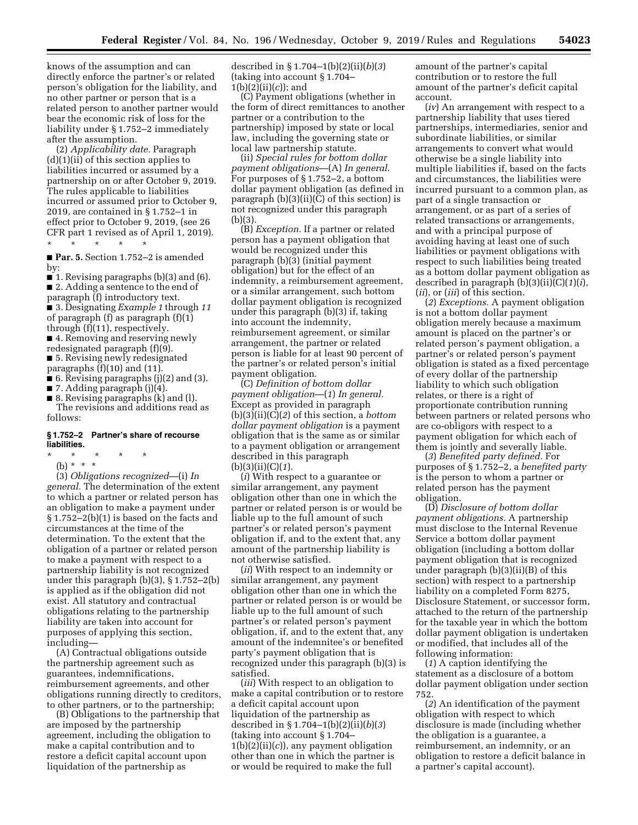knows of the assumption and can directly enforce the partner's or related person's obligation for the liability, and no other partner or person that is a related person to another partner would bear the economic risk of loss for the liability under § 1.752–2 immediately after the assumption.

(2) *Applicability date.* Paragraph (d)(1)(ii) of this section applies to liabilities incurred or assumed by a partnership on or after October 9, 2019. The rules applicable to liabilities incurred or assumed prior to October 9, 2019, are contained in § 1.752–1 in effect prior to October 9, 2019, (see 26 CFR part 1 revised as of April 1, 2019).

\* \* \* \* \* ■ **Par. 5.** Section 1.752-2 is amended

by:

 $\blacksquare$  1. Revising paragraphs (b)(3) and (6). ■ 2. Adding a sentence to the end of paragraph (f) introductory text.

■ 3. Designating *Example 1* through *11*  of paragraph (f) as paragraph (f)(1) through (f)(11), respectively.

■ 4. Removing and reserving newly redesignated paragraph (f)(9).

■ 5. Revising newly redesignated

paragraphs (f)(10) and (11).

■ 6. Revising paragraphs (j)(2) and (3).

■ 7. Adding paragraph (j)(4).

■ 8. Revising paragraphs (k) and (l). The revisions and additions read as follows:

## **§ 1.752–2 Partner's share of recourse liabilities.**

\* \* \* \* \*

(b) \* \* \*

(3) *Obligations recognized*—(i) *In general.* The determination of the extent to which a partner or related person has an obligation to make a payment under § 1.752–2(b)(1) is based on the facts and circumstances at the time of the determination. To the extent that the obligation of a partner or related person to make a payment with respect to a partnership liability is not recognized under this paragraph (b)(3), § 1.752–2(b) is applied as if the obligation did not exist. All statutory and contractual obligations relating to the partnership liability are taken into account for purposes of applying this section, including—

(A) Contractual obligations outside the partnership agreement such as guarantees, indemnifications, reimbursement agreements, and other obligations running directly to creditors, to other partners, or to the partnership;

(B) Obligations to the partnership that are imposed by the partnership agreement, including the obligation to make a capital contribution and to restore a deficit capital account upon liquidation of the partnership as

described in § 1.704–1(b)(2)(ii)(*b*)(*3*) (taking into account § 1.704–  $1(b)(2)(ii)(c)$ ; and

(C) Payment obligations (whether in the form of direct remittances to another partner or a contribution to the partnership) imposed by state or local law, including the governing state or local law partnership statute.

(ii) *Special rules for bottom dollar payment obligations*—(A) *In general*. For purposes of § 1.752–2, a bottom dollar payment obligation (as defined in paragraph (b)(3)(ii)(C) of this section) is not recognized under this paragraph (b)(3).

(B) *Exception.* If a partner or related person has a payment obligation that would be recognized under this paragraph (b)(3) (initial payment obligation) but for the effect of an indemnity, a reimbursement agreement, or a similar arrangement, such bottom dollar payment obligation is recognized under this paragraph (b)(3) if, taking into account the indemnity, reimbursement agreement, or similar arrangement, the partner or related person is liable for at least 90 percent of the partner's or related person's initial payment obligation.

(C) *Definition of bottom dollar payment obligation*—(*1*) *In general.*  Except as provided in paragraph (b)(3)(ii)(C)(*2*) of this section, a *bottom dollar payment obligation* is a payment obligation that is the same as or similar to a payment obligation or arrangement described in this paragraph (b)(3)(ii)(C)(*1*).

(*i*) With respect to a guarantee or similar arrangement, any payment obligation other than one in which the partner or related person is or would be liable up to the full amount of such partner's or related person's payment obligation if, and to the extent that, any amount of the partnership liability is not otherwise satisfied.

(*ii*) With respect to an indemnity or similar arrangement, any payment obligation other than one in which the partner or related person is or would be liable up to the full amount of such partner's or related person's payment obligation, if, and to the extent that, any amount of the indemnitee's or benefited party's payment obligation that is recognized under this paragraph (b)(3) is satisfied.

(*iii*) With respect to an obligation to make a capital contribution or to restore a deficit capital account upon liquidation of the partnership as described in § 1.704–1(b)(2)(ii)(*b*)(*3*) (taking into account § 1.704–  $1(b)(2)(ii)(c)$ , any payment obligation other than one in which the partner is or would be required to make the full

amount of the partner's capital contribution or to restore the full amount of the partner's deficit capital account.

(*iv*) An arrangement with respect to a partnership liability that uses tiered partnerships, intermediaries, senior and subordinate liabilities, or similar arrangements to convert what would otherwise be a single liability into multiple liabilities if, based on the facts and circumstances, the liabilities were incurred pursuant to a common plan, as part of a single transaction or arrangement, or as part of a series of related transactions or arrangements, and with a principal purpose of avoiding having at least one of such liabilities or payment obligations with respect to such liabilities being treated as a bottom dollar payment obligation as described in paragraph (b)(3)(ii)(C)(*1*)(*i*), (*ii*), or (*iii*) of this section.

(*2*) *Exceptions.* A payment obligation is not a bottom dollar payment obligation merely because a maximum amount is placed on the partner's or related person's payment obligation, a partner's or related person's payment obligation is stated as a fixed percentage of every dollar of the partnership liability to which such obligation relates, or there is a right of proportionate contribution running between partners or related persons who are co-obligors with respect to a payment obligation for which each of them is jointly and severally liable.

(*3*) *Benefited party defined.* For purposes of § 1.752–2, a *benefited party*  is the person to whom a partner or related person has the payment obligation.

(D) *Disclosure of bottom dollar payment obligations.* A partnership must disclose to the Internal Revenue Service a bottom dollar payment obligation (including a bottom dollar payment obligation that is recognized under paragraph (b)(3)(ii)(B) of this section) with respect to a partnership liability on a completed Form 8275, Disclosure Statement, or successor form, attached to the return of the partnership for the taxable year in which the bottom dollar payment obligation is undertaken or modified, that includes all of the following information:

(*1*) A caption identifying the statement as a disclosure of a bottom dollar payment obligation under section 752.

(*2*) An identification of the payment obligation with respect to which disclosure is made (including whether the obligation is a guarantee, a reimbursement, an indemnity, or an obligation to restore a deficit balance in a partner's capital account).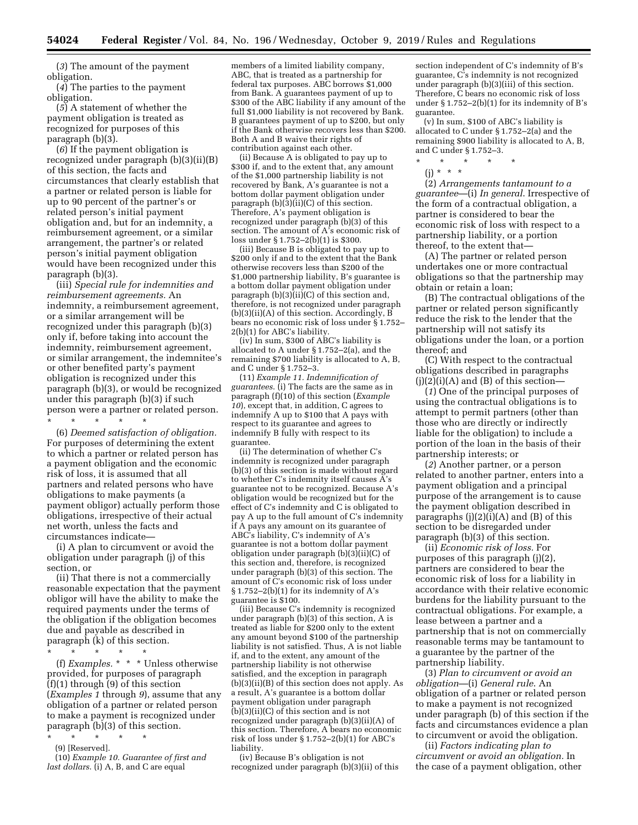(*3*) The amount of the payment obligation.

(*4*) The parties to the payment obligation.

(*5*) A statement of whether the payment obligation is treated as recognized for purposes of this paragraph (b)(3).

(*6*) If the payment obligation is recognized under paragraph (b)(3)(ii)(B) of this section, the facts and circumstances that clearly establish that a partner or related person is liable for up to 90 percent of the partner's or related person's initial payment obligation and, but for an indemnity, a reimbursement agreement, or a similar arrangement, the partner's or related person's initial payment obligation would have been recognized under this paragraph (b)(3).

(iii) *Special rule for indemnities and reimbursement agreements.* An indemnity, a reimbursement agreement, or a similar arrangement will be recognized under this paragraph (b)(3) only if, before taking into account the indemnity, reimbursement agreement, or similar arrangement, the indemnitee's or other benefited party's payment obligation is recognized under this paragraph (b)(3), or would be recognized under this paragraph (b)(3) if such person were a partner or related person. \* \* \* \* \*

(6) *Deemed satisfaction of obligation.*  For purposes of determining the extent to which a partner or related person has a payment obligation and the economic risk of loss, it is assumed that all partners and related persons who have obligations to make payments (a payment obligor) actually perform those obligations, irrespective of their actual net worth, unless the facts and

(i) A plan to circumvent or avoid the obligation under paragraph (j) of this section, or

(ii) That there is not a commercially reasonable expectation that the payment obligor will have the ability to make the required payments under the terms of the obligation if the obligation becomes due and payable as described in paragraph (k) of this section.

\* \* \* \* \*

circumstances indicate—

(f) *Examples.* \* \* \* Unless otherwise provided, for purposes of paragraph  $(f)(1)$  through  $(9)$  of this section (*Examples 1* through *9*), assume that any obligation of a partner or related person to make a payment is recognized under paragraph (b)(3) of this section.

- \* \* \* \* \*
- (9) [Reserved].

(10) *Example 10. Guarantee of first and last dollars*. (i) A, B, and C are equal

members of a limited liability company, ABC, that is treated as a partnership for federal tax purposes. ABC borrows \$1,000 from Bank. A guarantees payment of up to \$300 of the ABC liability if any amount of the full \$1,000 liability is not recovered by Bank. B guarantees payment of up to \$200, but only if the Bank otherwise recovers less than \$200. Both A and B waive their rights of contribution against each other.

(ii) Because A is obligated to pay up to \$300 if, and to the extent that, any amount of the \$1,000 partnership liability is not recovered by Bank, A's guarantee is not a bottom dollar payment obligation under paragraph  $(b)(3)(ii)(C)$  of this section. Therefore, A's payment obligation is recognized under paragraph (b)(3) of this section. The amount of A's economic risk of loss under § 1.752–2(b)(1) is \$300.

(iii) Because B is obligated to pay up to \$200 only if and to the extent that the Bank otherwise recovers less than \$200 of the \$1,000 partnership liability, B's guarantee is a bottom dollar payment obligation under paragraph  $(b)(3)(ii)(C)$  of this section and, therefore, is not recognized under paragraph (b)(3)(ii)(A) of this section. Accordingly, B bears no economic risk of loss under § 1.752– 2(b)(1) for ABC's liability.

(iv) In sum, \$300 of ABC's liability is allocated to A under § 1.752–2(a), and the remaining \$700 liability is allocated to A, B, and C under § 1.752–3.

(11) *Example 11. Indemnification of guarantees*. (i) The facts are the same as in paragraph (f)(10) of this section (*Example 10*), except that, in addition, C agrees to indemnify A up to \$100 that A pays with respect to its guarantee and agrees to indemnify B fully with respect to its guarantee.

(ii) The determination of whether C's indemnity is recognized under paragraph (b)(3) of this section is made without regard to whether C's indemnity itself causes A's guarantee not to be recognized. Because A's obligation would be recognized but for the effect of C's indemnity and C is obligated to pay A up to the full amount of C's indemnity if A pays any amount on its guarantee of ABC's liability, C's indemnity of A's guarantee is not a bottom dollar payment obligation under paragraph (b)(3)(ii)(C) of this section and, therefore, is recognized under paragraph (b)(3) of this section. The amount of C's economic risk of loss under  $§ 1.752-2(b)(1)$  for its indemnity of A's guarantee is \$100.

(iii) Because C's indemnity is recognized under paragraph (b)(3) of this section, A is treated as liable for \$200 only to the extent any amount beyond \$100 of the partnership liability is not satisfied. Thus,  $\overline{A}$  is not liable if, and to the extent, any amount of the partnership liability is not otherwise satisfied, and the exception in paragraph (b)(3)(ii)(B) of this section does not apply. As a result, A's guarantee is a bottom dollar payment obligation under paragraph (b)(3)(ii)(C) of this section and is not recognized under paragraph (b)(3)(ii)(A) of this section. Therefore, A bears no economic risk of loss under § 1.752–2(b)(1) for ABC's liability.

(iv) Because B's obligation is not recognized under paragraph (b)(3)(ii) of this section independent of C's indemnity of B's guarantee, C's indemnity is not recognized under paragraph (b)(3)(iii) of this section. Therefore, C bears no economic risk of loss under § 1.752–2(b)(1) for its indemnity of B's guarantee.

(v) In sum, \$100 of ABC's liability is allocated to C under § 1.752–2(a) and the remaining \$900 liability is allocated to A, B, and C under § 1.752–3.

- \* \* \* \* \*  $(i) * * * *$ 
	-

(2) *Arrangements tantamount to a guarantee*—(i) *In general*. Irrespective of the form of a contractual obligation, a partner is considered to bear the economic risk of loss with respect to a partnership liability, or a portion thereof, to the extent that—

(A) The partner or related person undertakes one or more contractual obligations so that the partnership may obtain or retain a loan;

(B) The contractual obligations of the partner or related person significantly reduce the risk to the lender that the partnership will not satisfy its obligations under the loan, or a portion thereof; and

(C) With respect to the contractual obligations described in paragraphs  $(i)(2)(i)(A)$  and  $(B)$  of this section-

(*1*) One of the principal purposes of using the contractual obligations is to attempt to permit partners (other than those who are directly or indirectly liable for the obligation) to include a portion of the loan in the basis of their partnership interests; or

(*2*) Another partner, or a person related to another partner, enters into a payment obligation and a principal purpose of the arrangement is to cause the payment obligation described in paragraphs  $(j)(2)(i)(A)$  and  $(B)$  of this section to be disregarded under paragraph (b)(3) of this section.

(ii) *Economic risk of loss.* For purposes of this paragraph (j)(2), partners are considered to bear the economic risk of loss for a liability in accordance with their relative economic burdens for the liability pursuant to the contractual obligations. For example, a lease between a partner and a partnership that is not on commercially reasonable terms may be tantamount to a guarantee by the partner of the partnership liability.

(3) *Plan to circumvent or avoid an obligation*—(i) *General rule*. An obligation of a partner or related person to make a payment is not recognized under paragraph (b) of this section if the facts and circumstances evidence a plan to circumvent or avoid the obligation.

(ii) *Factors indicating plan to circumvent or avoid an obligation.* In the case of a payment obligation, other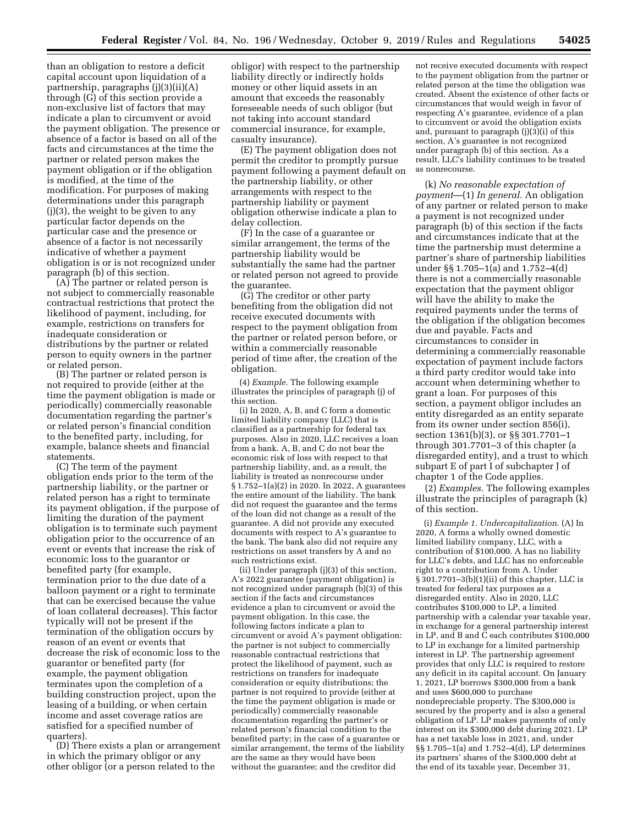than an obligation to restore a deficit capital account upon liquidation of a partnership, paragraphs (j)(3)(ii)(A) through (G) of this section provide a non-exclusive list of factors that may indicate a plan to circumvent or avoid the payment obligation. The presence or absence of a factor is based on all of the facts and circumstances at the time the partner or related person makes the payment obligation or if the obligation is modified, at the time of the modification. For purposes of making determinations under this paragraph (j)(3), the weight to be given to any particular factor depends on the particular case and the presence or absence of a factor is not necessarily indicative of whether a payment obligation is or is not recognized under paragraph (b) of this section.

(A) The partner or related person is not subject to commercially reasonable contractual restrictions that protect the likelihood of payment, including, for example, restrictions on transfers for inadequate consideration or distributions by the partner or related person to equity owners in the partner or related person.

(B) The partner or related person is not required to provide (either at the time the payment obligation is made or periodically) commercially reasonable documentation regarding the partner's or related person's financial condition to the benefited party, including, for example, balance sheets and financial statements.

(C) The term of the payment obligation ends prior to the term of the partnership liability, or the partner or related person has a right to terminate its payment obligation, if the purpose of limiting the duration of the payment obligation is to terminate such payment obligation prior to the occurrence of an event or events that increase the risk of economic loss to the guarantor or benefited party (for example, termination prior to the due date of a balloon payment or a right to terminate that can be exercised because the value of loan collateral decreases). This factor typically will not be present if the termination of the obligation occurs by reason of an event or events that decrease the risk of economic loss to the guarantor or benefited party (for example, the payment obligation terminates upon the completion of a building construction project, upon the leasing of a building, or when certain income and asset coverage ratios are satisfied for a specified number of quarters).

(D) There exists a plan or arrangement in which the primary obligor or any other obligor (or a person related to the

obligor) with respect to the partnership liability directly or indirectly holds money or other liquid assets in an amount that exceeds the reasonably foreseeable needs of such obligor (but not taking into account standard commercial insurance, for example, casualty insurance).

(E) The payment obligation does not permit the creditor to promptly pursue payment following a payment default on the partnership liability, or other arrangements with respect to the partnership liability or payment obligation otherwise indicate a plan to delay collection.

(F) In the case of a guarantee or similar arrangement, the terms of the partnership liability would be substantially the same had the partner or related person not agreed to provide the guarantee.

(G) The creditor or other party benefiting from the obligation did not receive executed documents with respect to the payment obligation from the partner or related person before, or within a commercially reasonable period of time after, the creation of the obligation.

(4) *Example.* The following example illustrates the principles of paragraph (j) of this section.

(i) In 2020, A, B, and C form a domestic limited liability company (LLC) that is classified as a partnership for federal tax purposes. Also in 2020, LLC receives a loan from a bank. A, B, and C do not bear the economic risk of loss with respect to that partnership liability, and, as a result, the liability is treated as nonrecourse under § 1.752–1(a)(2) in 2020. In 2022, A guarantees the entire amount of the liability. The bank did not request the guarantee and the terms of the loan did not change as a result of the guarantee. A did not provide any executed documents with respect to A's guarantee to the bank. The bank also did not require any restrictions on asset transfers by A and no such restrictions exist.

(ii) Under paragraph (j)(3) of this section, A's 2022 guarantee (payment obligation) is not recognized under paragraph (b)(3) of this section if the facts and circumstances evidence a plan to circumvent or avoid the payment obligation. In this case, the following factors indicate a plan to circumvent or avoid A's payment obligation: the partner is not subject to commercially reasonable contractual restrictions that protect the likelihood of payment, such as restrictions on transfers for inadequate consideration or equity distributions; the partner is not required to provide (either at the time the payment obligation is made or periodically) commercially reasonable documentation regarding the partner's or related person's financial condition to the benefited party; in the case of a guarantee or similar arrangement, the terms of the liability are the same as they would have been without the guarantee; and the creditor did

not receive executed documents with respect to the payment obligation from the partner or related person at the time the obligation was created. Absent the existence of other facts or circumstances that would weigh in favor of respecting A's guarantee, evidence of a plan to circumvent or avoid the obligation exists and, pursuant to paragraph (j)(3)(i) of this section, A's guarantee is not recognized under paragraph (b) of this section. As a result, LLC's liability continues to be treated as nonrecourse.

(k) *No reasonable expectation of payment*—(1) *In general.* An obligation of any partner or related person to make a payment is not recognized under paragraph (b) of this section if the facts and circumstances indicate that at the time the partnership must determine a partner's share of partnership liabilities under §§ 1.705–1(a) and 1.752–4(d) there is not a commercially reasonable expectation that the payment obligor will have the ability to make the required payments under the terms of the obligation if the obligation becomes due and payable. Facts and circumstances to consider in determining a commercially reasonable expectation of payment include factors a third party creditor would take into account when determining whether to grant a loan. For purposes of this section, a payment obligor includes an entity disregarded as an entity separate from its owner under section 856(i), section 1361(b)(3), or §§ 301.7701–1 through 301.7701–3 of this chapter (a disregarded entity), and a trust to which subpart E of part I of subchapter J of chapter 1 of the Code applies.

(2) *Examples.* The following examples illustrate the principles of paragraph (k) of this section.

(i) *Example 1. Undercapitalization*. (A) In 2020, A forms a wholly owned domestic limited liability company, LLC, with a contribution of \$100,000. A has no liability for LLC's debts, and LLC has no enforceable right to a contribution from A. Under § 301.7701–3(b)(1)(ii) of this chapter, LLC is treated for federal tax purposes as a disregarded entity. Also in 2020, LLC contributes \$100,000 to LP, a limited partnership with a calendar year taxable year, in exchange for a general partnership interest in LP, and B and C each contributes \$100,000 to LP in exchange for a limited partnership interest in LP. The partnership agreement provides that only LLC is required to restore any deficit in its capital account. On January 1, 2021, LP borrows \$300,000 from a bank and uses \$600,000 to purchase nondepreciable property. The \$300,000 is secured by the property and is also a general obligation of LP. LP makes payments of only interest on its \$300,000 debt during 2021. LP has a net taxable loss in 2021, and, under §§ 1.705–1(a) and 1.752–4(d), LP determines its partners' shares of the \$300,000 debt at the end of its taxable year, December 31,